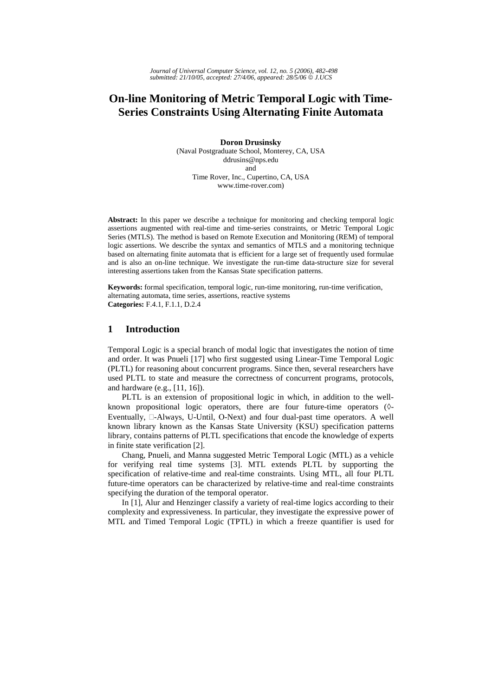# **On-line Monitoring of Metric Temporal Logic with Time-Series Constraints Using Alternating Finite Automata**

**Doron Drusinsky**  (Naval Postgraduate School, Monterey, CA, USA ddrusins@nps.edu and Time Rover, Inc., Cupertino, CA, USA www.time-rover.com)

**Abstract:** In this paper we describe a technique for monitoring and checking temporal logic assertions augmented with real-time and time-series constraints, or Metric Temporal Logic Series (MTLS). The method is based on Remote Execution and Monitoring (REM) of temporal logic assertions. We describe the syntax and semantics of MTLS and a monitoring technique based on alternating finite automata that is efficient for a large set of frequently used formulae and is also an on-line technique. We investigate the run-time data-structure size for several interesting assertions taken from the Kansas State specification patterns.

**Keywords:** formal specification, temporal logic, run-time monitoring, run-time verification, alternating automata, time series, assertions, reactive systems **Categories:** F.4.1, F.1.1, D.2.4

### **1 Introduction**

Temporal Logic is a special branch of modal logic that investigates the notion of time and order. It was Pnueli [17] who first suggested using Linear-Time Temporal Logic (PLTL) for reasoning about concurrent programs. Since then, several researchers have used PLTL to state and measure the correctness of concurrent programs, protocols, and hardware (e.g., [11, 16]).

PLTL is an extension of propositional logic in which, in addition to the wellknown propositional logic operators, there are four future-time operators (◊- Eventually,  $\Box$ -Always, U-Until, O-Next) and four dual-past time operators. A well known library known as the Kansas State University (KSU) specification patterns library, contains patterns of PLTL specifications that encode the knowledge of experts in finite state verification [2].

Chang, Pnueli, and Manna suggested Metric Temporal Logic (MTL) as a vehicle for verifying real time systems [3]. MTL extends PLTL by supporting the specification of relative-time and real-time constraints. Using MTL, all four PLTL future-time operators can be characterized by relative-time and real-time constraints specifying the duration of the temporal operator.

In [1], Alur and Henzinger classify a variety of real-time logics according to their complexity and expressiveness. In particular, they investigate the expressive power of MTL and Timed Temporal Logic (TPTL) in which a freeze quantifier is used for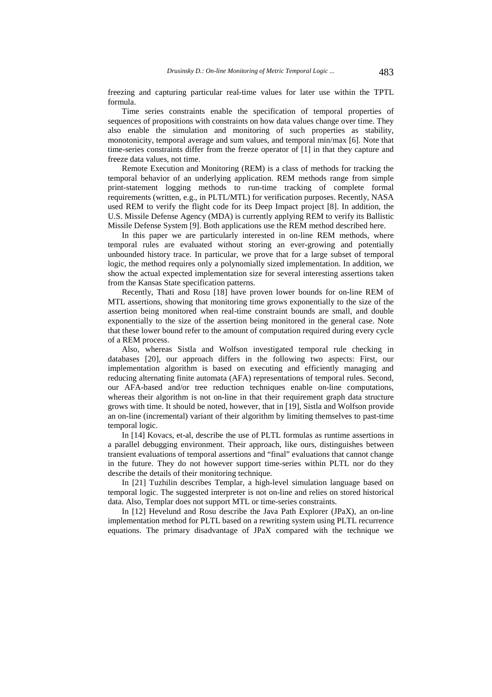freezing and capturing particular real-time values for later use within the TPTL formula.

Time series constraints enable the specification of temporal properties of sequences of propositions with constraints on how data values change over time. They also enable the simulation and monitoring of such properties as stability, monotonicity, temporal average and sum values, and temporal min/max [6]. Note that time-series constraints differ from the freeze operator of [1] in that they capture and freeze data values, not time.

Remote Execution and Monitoring (REM) is a class of methods for tracking the temporal behavior of an underlying application. REM methods range from simple print-statement logging methods to run-time tracking of complete formal requirements (written, e.g., in PLTL/MTL) for verification purposes. Recently, NASA used REM to verify the flight code for its Deep Impact project [8]. In addition, the U.S. Missile Defense Agency (MDA) is currently applying REM to verify its Ballistic Missile Defense System [9]. Both applications use the REM method described here.

In this paper we are particularly interested in on-line REM methods, where temporal rules are evaluated without storing an ever-growing and potentially unbounded history trace. In particular, we prove that for a large subset of temporal logic, the method requires only a polynomially sized implementation. In addition, we show the actual expected implementation size for several interesting assertions taken from the Kansas State specification patterns.

Recently, Thati and Rosu [18] have proven lower bounds for on-line REM of MTL assertions, showing that monitoring time grows exponentially to the size of the assertion being monitored when real-time constraint bounds are small, and double exponentially to the size of the assertion being monitored in the general case. Note that these lower bound refer to the amount of computation required during every cycle of a REM process.

Also, whereas Sistla and Wolfson investigated temporal rule checking in databases [20], our approach differs in the following two aspects: First, our implementation algorithm is based on executing and efficiently managing and reducing alternating finite automata (AFA) representations of temporal rules. Second, our AFA-based and/or tree reduction techniques enable on-line computations, whereas their algorithm is not on-line in that their requirement graph data structure grows with time. It should be noted, however, that in [19], Sistla and Wolfson provide an on-line (incremental) variant of their algorithm by limiting themselves to past-time temporal logic.

In [14] Kovacs, et-al, describe the use of PLTL formulas as runtime assertions in a parallel debugging environment. Their approach, like ours, distinguishes between transient evaluations of temporal assertions and "final" evaluations that cannot change in the future. They do not however support time-series within PLTL nor do they describe the details of their monitoring technique.

In [21] Tuzhilin describes Templar, a high-level simulation language based on temporal logic. The suggested interpreter is not on-line and relies on stored historical data. Also, Templar does not support MTL or time-series constraints.

In [12] Hevelund and Rosu describe the Java Path Explorer (JPaX), an on-line implementation method for PLTL based on a rewriting system using PLTL recurrence equations. The primary disadvantage of JPaX compared with the technique we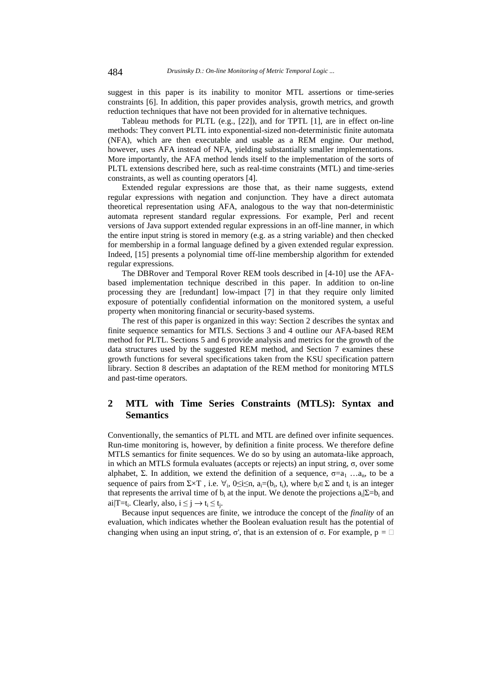suggest in this paper is its inability to monitor MTL assertions or time-series constraints [6]. In addition, this paper provides analysis, growth metrics, and growth reduction techniques that have not been provided for in alternative techniques.

Tableau methods for PLTL (e.g., [22]), and for TPTL [1], are in effect on-line methods: They convert PLTL into exponential-sized non-deterministic finite automata (NFA), which are then executable and usable as a REM engine. Our method, however, uses AFA instead of NFA, yielding substantially smaller implementations. More importantly, the AFA method lends itself to the implementation of the sorts of PLTL extensions described here, such as real-time constraints (MTL) and time-series constraints, as well as counting operators [4].

Extended regular expressions are those that, as their name suggests, extend regular expressions with negation and conjunction. They have a direct automata theoretical representation using AFA, analogous to the way that non-deterministic automata represent standard regular expressions. For example, Perl and recent versions of Java support extended regular expressions in an off-line manner, in which the entire input string is stored in memory (e.g. as a string variable) and then checked for membership in a formal language defined by a given extended regular expression. Indeed, [15] presents a polynomial time off-line membership algorithm for extended regular expressions.

The DBRover and Temporal Rover REM tools described in [4-10] use the AFAbased implementation technique described in this paper. In addition to on-line processing they are [redundant] low-impact [7] in that they require only limited exposure of potentially confidential information on the monitored system, a useful property when monitoring financial or security-based systems.

The rest of this paper is organized in this way: Section 2 describes the syntax and finite sequence semantics for MTLS. Sections 3 and 4 outline our AFA-based REM method for PLTL. Sections 5 and 6 provide analysis and metrics for the growth of the data structures used by the suggested REM method, and Section 7 examines these growth functions for several specifications taken from the KSU specification pattern library. Section 8 describes an adaptation of the REM method for monitoring MTLS and past-time operators.

# **2 MTL with Time Series Constraints (MTLS): Syntax and Semantics**

Conventionally, the semantics of PLTL and MTL are defined over infinite sequences. Run-time monitoring is, however, by definition a finite process. We therefore define MTLS semantics for finite sequences. We do so by using an automata-like approach, in which an MTLS formula evaluates (accepts or rejects) an input string, σ, over some alphabet, Σ. In addition, we extend the definition of a sequence,  $\sigma = a_1 \dots a_n$ , to be a sequence of pairs from  $\Sigma \times T$ , i.e.  $\forall$ <sub>i</sub>, 0≤i≤n, a<sub>i</sub>=(b<sub>i</sub>, t<sub>i</sub>), where b<sub>i</sub>∈  $\Sigma$  and t<sub>i</sub> is an integer that represents the arrival time of  $b_i$  at the input. We denote the projections  $a_i|\Sigma=b_i$  and ai $|T=t_i$ . Clearly, also,  $i \leq j \rightarrow t_i \leq t_i$ .

Because input sequences are finite, we introduce the concept of the *finality* of an evaluation, which indicates whether the Boolean evaluation result has the potential of changing when using an input string,  $\sigma'$ , that is an extension of  $\sigma$ . For example,  $p = \Box$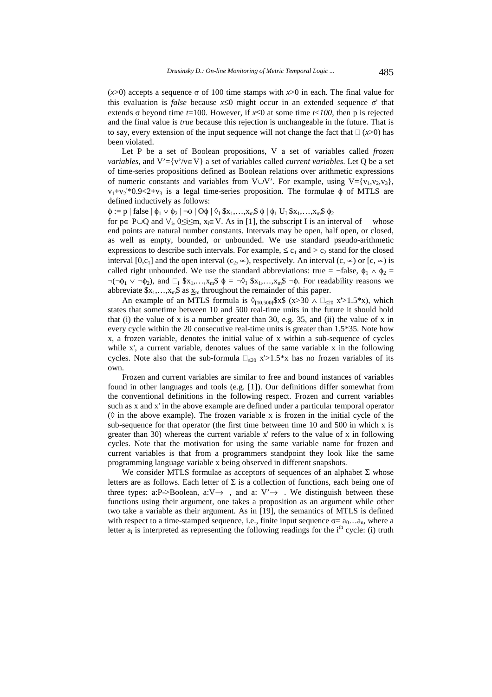(*x*>0) accepts a sequence σ of 100 time stamps with *x*>0 in each. The final value for this evaluation is *false* because  $x \le 0$  might occur in an extended sequence σ' that extends σ beyond time *t*=100. However, if  $x \le 0$  at some time *t*<*100*, then p is rejected and the final value is *true* because this rejection is unchangeable in the future. That is to say, every extension of the input sequence will not change the fact that  $\Box$  (*x*>0) has been violated.

Let P be a set of Boolean propositions, V a set of variables called *frozen variables*, and V'={v'/v∈V} a set of variables called *current variables*. Let Q be a set of time-series propositions defined as Boolean relations over arithmetic expressions of numeric constants and variables from V∪V'. For example, using V={v<sub>1</sub>,v<sub>2</sub>,v<sub>3</sub>},  $v_1 + v_2$ <sup>'\*</sup>0.9<2+v<sub>3</sub> is a legal time-series proposition. The formulae  $\phi$  of MTLS are defined inductively as follows:

 $\phi := p | \text{false} | \phi_1 \vee \phi_2 | \neg \phi | O \phi | \Diamond_I \$x_1, \dots, x_m$ \phi | \phi_1 \mathbf{U}_I \$x_1, \dots, x_m$ \phi_2$ 

for p∈ P∪Q and  $\forall$ <sub>i</sub>, 0≤i≤m, x<sub>i</sub>∈ V. As in [1], the subscript I is an interval of whose end points are natural number constants. Intervals may be open, half open, or closed, as well as empty, bounded, or unbounded. We use standard pseudo-arithmetic expressions to describe such intervals. For example,  $\leq c_1$  and  $>c_2$  stand for the closed interval  $[0, c_1]$  and the open interval  $(c_2, \infty)$ , respectively. An interval  $(c, \infty)$  or  $[c, \infty)$  is called right unbounded. We use the standard abbreviations: true = ¬false,  $\phi_1 \wedge \phi_2$  =  $\neg(\neg \phi_1 \lor \neg \phi_2)$ , and  $\Box_I$  \$x<sub>1</sub>,...,x<sub>m</sub>\$  $\phi = \neg \Diamond_I$  \$x<sub>1</sub>,...,x<sub>m</sub>\$  $\neg \phi$ . For readability reasons we abbreviate  $x_1,...,x_m\$  as  $x_m$  throughout the remainder of this paper.

An example of an MTLS formula is  $\Diamond_{[10,500]}$ \$x\$ (x>30  $\land \Box_{\leq 20}$  x'>1.5\*x), which states that sometime between 10 and 500 real-time units in the future it should hold that (i) the value of x is a number greater than 30, e.g. 35, and (ii) the value of x in every cycle within the 20 consecutive real-time units is greater than 1.5\*35. Note how x, a frozen variable, denotes the initial value of x within a sub-sequence of cycles while x', a current variable, denotes values of the same variable x in the following cycles. Note also that the sub-formula  $\Box_{\leq 20}$  x'>1.5\*x has no frozen variables of its own.

Frozen and current variables are similar to free and bound instances of variables found in other languages and tools (e.g. [1]). Our definitions differ somewhat from the conventional definitions in the following respect. Frozen and current variables such as x and x' in the above example are defined under a particular temporal operator  $(\Diamond$  in the above example). The frozen variable x is frozen in the initial cycle of the sub-sequence for that operator (the first time between time  $10$  and  $500$  in which x is greater than 30) whereas the current variable x' refers to the value of x in following cycles. Note that the motivation for using the same variable name for frozen and current variables is that from a programmers standpoint they look like the same programming language variable x being observed in different snapshots.

We consider MTLS formulae as acceptors of sequences of an alphabet  $\Sigma$  whose letters are as follows. Each letter of  $\Sigma$  is a collection of functions, each being one of three types: a:P->Boolean, a: $V \rightarrow$ , and a:  $V' \rightarrow$ . We distinguish between these functions using their argument, one takes a proposition as an argument while other two take a variable as their argument. As in [19], the semantics of MTLS is defined with respect to a time-stamped sequence, i.e., finite input sequence  $\sigma = a_0 \dots a_n$ , where a letter  $a_i$  is interpreted as representing the following readings for the i<sup>th</sup> cycle: (i) truth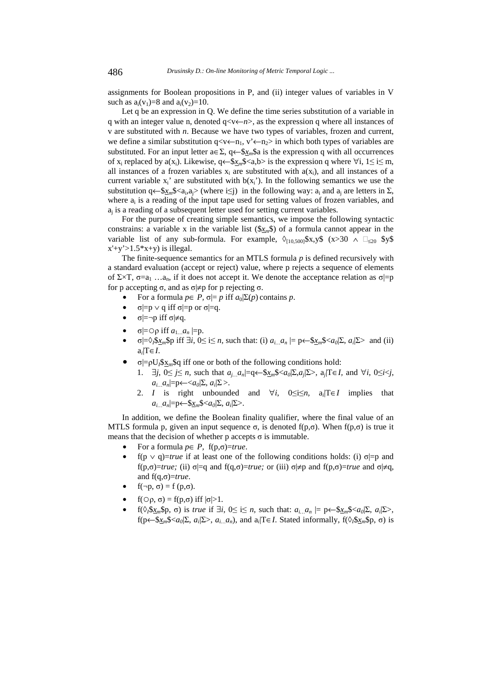assignments for Boolean propositions in P, and (ii) integer values of variables in V such as  $a_i(v_1)=8$  and  $a_i(v_2)=10$ .

Let q be an expression in Q. We define the time series substitution of a variable in q with an integer value n, denoted q<v←*n*>, as the expression q where all instances of v are substituted with *n*. Because we have two types of variables, frozen and current, we define a similar substitution  $q \ll v \leftarrow n_1$ ,  $v' \leftarrow n_2>$  in which both types of variables are substituted. For an input letter  $a \in \Sigma$ ,  $q \leftarrow \frac{6}{x} \cdot a$  is the expression q with all occurrences of x<sub>i</sub> replaced by a(x<sub>i</sub>). Likewise,  $q \leftarrow \frac{S_X}{S_X} \leq a, b > b$  is the expression q where  $\forall i, 1 \leq i \leq m$ , all instances of a frozen variables  $x_i$  are substituted with  $a(x_i)$ , and all instances of a current variable  $x_i'$  are substituted with  $b(x_i')$ . In the following semantics we use the substitution q←\$ $x_m$ \$<a<sub>i</sub>,a<sub>i</sub>> (where i≤j) in the following way: a<sub>i</sub> and a<sub>i</sub> are letters in  $\Sigma$ , where  $a_i$  is a reading of the input tape used for setting values of frozen variables, and  $a_i$  is a reading of a subsequent letter used for setting current variables.

For the purpose of creating simple semantics, we impose the following syntactic constrains: a variable x in the variable list  $(\frac{S_X}{N})$  of a formula cannot appear in the variable list of any sub-formula. For example,  $\Diamond_{[10,500]}$ \$x,y\$ (x>30  $\land \Box_{\leq 20}$  \$y\$  $x'+y' > 1.5*x+y$ ) is illegal.

The finite-sequence semantics for an MTLS formula *p* is defined recursively with a standard evaluation (accept or reject) value, where p rejects a sequence of elements of  $\Sigma \times T$ ,  $\sigma = a_1 \dots a_n$ , if it does not accept it. We denote the acceptance relation as  $\sigma = p$ for p accepting σ, and as  $\sigma \neq p$  for p rejecting σ.

- For a formula  $p \in P$ ,  $\sigma \models p$  iff  $a_0 \Sigma(p)$  contains  $p$ .
- $\sigma$ |=p  $\vee$  q iff  $\sigma$ |=p or  $\sigma$ |=q.
- $\sigma$ |=¬p iff  $\sigma$ |≠q.
- $\sigma$ = $\circ$ ρ iff  $a_1 \ldots a_n$  = p.
- $\sigma = \sqrt[3]{2\pi}$  *sp* iff  $\exists i, 0 \le i \le n$ , such that: (i)  $a_{i...} a_n = \rho \leftarrow \frac{S_{x_n}}{S} \langle a_0 | \Sigma, a_i | \Sigma \rangle$  and (ii)  $a_i|T \in I$ .
- $\sigma$ |= $\rho U_l$ \$x<sub>m</sub>\$q iff one or both of the following conditions hold:
	- 1. ∃*j*, 0≤ *j*≤ *n,* such that *aj…an*|=q←\$*xm*\$<*a0*|Σ,*aj*|Σ>, a*j*|T∈*I,* and ∀*i*, 0≤*i*<*j*,  $a_i$ <sub>*... a<sub>n</sub>*|=p←<*a*<sub>0</sub>|Σ, *a<sub>i</sub>*|Σ>.</sub>
	- 2. *I* is right unbounded and  $\forall i$ ,  $0 \le i \le n$ ,  $a_i/T \in I$  implies that *ai…an*|=p←\$*xm*\$<*a0*|Σ, *ai*|Σ>.

In addition, we define the Boolean finality qualifier, where the final value of an MTLS formula p, given an input sequence σ, is denoted  $f(p,σ)$ . When  $f(p,σ)$  is true it means that the decision of whether  $p$  accepts  $\sigma$  is immutable.

- For a formula  $p \in P$ ,  $f(p, \sigma) = true$ .
- f(p  $\vee$  q)=*true* if at least one of the following conditions holds: (i) σ|=p and f(p,σ)=*true;* (ii) σ|=q and f(q,σ)=*true;* or (iii) σ|≠p and f(p,σ)=*true* and σ|≠q, and f(q,σ)=*true*.
- $f(\neg p, \sigma) = f(p, \sigma)$ .
- $f(\bigcirc \rho, \sigma) = f(p, \sigma)$  iff  $|\sigma| > 1$ .
- $f(\Diamond \beta x_m \Diamond p, \sigma)$  is *true* if  $\exists i, 0 \le i \le n$ , such that:  $a_{i...} a_n \models p \leftarrow \Diamond x_m \Diamond \langle a_0 | \Sigma, a_i | \Sigma \rangle$ , f(p← $\frac{\partial x_m}{\partial a_0}$   $\sum$ ,  $a_i$   $\sum$ ,  $a_i$ <sub>*i…*</sub> $a_n$ ), and  $a_i$  T∈*I*. Stated informally, f( $\Diamond$ <sub>i</sub>  $\frac{\partial x_m}{\partial a_0}$ ,  $\Diamond$ ) is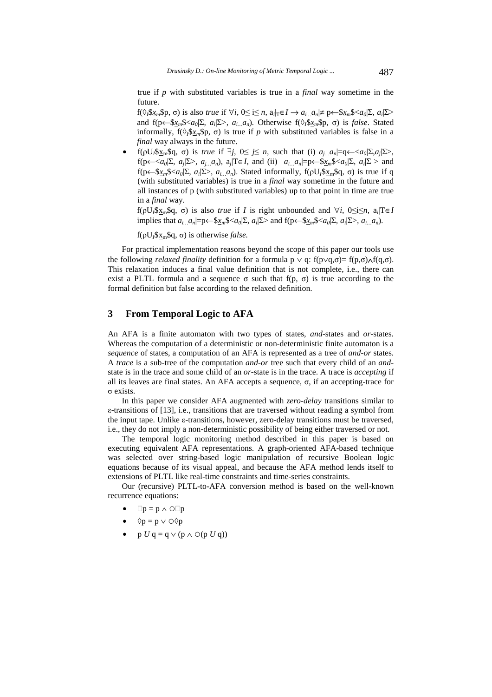true if *p* with substituted variables is true in a *final* way sometime in the future.

f(◊*I*\$*xm*\$p, σ) is also *true* if ∀*i*, 0≤ i≤ *n*, a*i*|T∈*I* → *ai…an*|≠ p←\$*xm*\$<*a0*|Σ, *ai*|Σ> and  $f(p \leftarrow \frac{\delta x_m \delta}{a_0 | \Sigma, a_i | \Sigma}, a_{i...} a_n)$ . Otherwise  $f(\delta_i \delta x_m \delta p, \sigma)$  is *false*. Stated informally,  $f(\Diamond_i \& x_m \& p, \sigma)$  is true if *p* with substituted variables is false in a *final* way always in the future.

• f(ρU*I*\$xm\$q, σ) is *true* if ∃*j*, 0≤ *j*≤ *n,* such that (i) *aj…an*|=q←<*a0*|Σ,*aj*|Σ>, f(p←  $\langle a_0 \rangle \langle \sum$ ,  $a_i \rangle \langle \sum$ ,  $a_i \rangle \langle a_n \rangle$ ,  $a_i \rangle \langle \sum$  and (ii)  $a_i \rangle \langle a_n \rangle = p \langle \sum_{n=1}^{\infty} a_n \rangle \langle \sum_{n=1}^{\infty} a_n \rangle \langle a_n \rangle$  $f(p \leftarrow$ \$*x<sub>m</sub>*\$ < *a<sub>i</sub>*|Σ, *a<sub>i</sub>*|Σ>, *a<sub>i</sub>*|*a<sub>n</sub>*). Stated informally,  $f(pU_f $x_m $q, σ)$  is true if q (with substituted variables) is true in a *final* way sometime in the future and all instances of p (with substituted variables) up to that point in time are true in a *final* way.

f( $\rho U_l$  $\delta x_m$  $\delta q$ ,  $\sigma$ ) is also *true* if *I* is right unbounded and  $\forall i$ ,  $0 \le i \le n$ ,  $a_i$   $T \in I$ implies that  $a_i$   $a_n$  =  $p \leftarrow \frac{\mathcal{S}_{X_n}}{\mathcal{S}} \langle a_0 | \Sigma, a_i | \Sigma \rangle$  and  $f(p \leftarrow \frac{\mathcal{S}_{X_n}}{\mathcal{S}} \langle a_0 | \Sigma, a_i | \Sigma \rangle, a_i \Delta_n)$ .

 $f(\rho U_f S_{X_m} \rho G, \sigma)$  is otherwise *false*.

For practical implementation reasons beyond the scope of this paper our tools use the following *relaxed finality* definition for a formula  $p \vee q$ : f(p $\vee q$ , $\sigma$ )= f(p, $\sigma$ ) $\wedge f(q,\sigma)$ . This relaxation induces a final value definition that is not complete, i.e., there can exist a PLTL formula and a sequence  $\sigma$  such that f(p,  $\sigma$ ) is true according to the formal definition but false according to the relaxed definition.

# **3 From Temporal Logic to AFA**

An AFA is a finite automaton with two types of states, *and*-states and *or*-states. Whereas the computation of a deterministic or non-deterministic finite automaton is a *sequence* of states, a computation of an AFA is represented as a tree of *and-or* states. A *trace* is a sub-tree of the computation *and-or* tree such that every child of an *and*state is in the trace and some child of an *or*-state is in the trace. A trace is *accepting* if all its leaves are final states. An AFA accepts a sequence,  $\sigma$ , if an accepting-trace for σ exists.

In this paper we consider AFA augmented with *zero-delay* transitions similar to ε-transitions of [13], i.e., transitions that are traversed without reading a symbol from the input tape. Unlike ε-transitions, however, zero-delay transitions must be traversed, i.e., they do not imply a non-deterministic possibility of being either traversed or not.

The temporal logic monitoring method described in this paper is based on executing equivalent AFA representations. A graph-oriented AFA-based technique was selected over string-based logic manipulation of recursive Boolean logic equations because of its visual appeal, and because the AFA method lends itself to extensions of PLTL like real-time constraints and time-series constraints. Our (recursive) PLTL-to-AFA conversion method is based on the well-known

recurrence equations:

- $\Box p = p \land \odot \Box p$
- $\lozenge p = p \vee \lozenge \lozenge p$
- p *U* q = q  $\vee$  (p  $\wedge$   $\circ$  (p *U* q))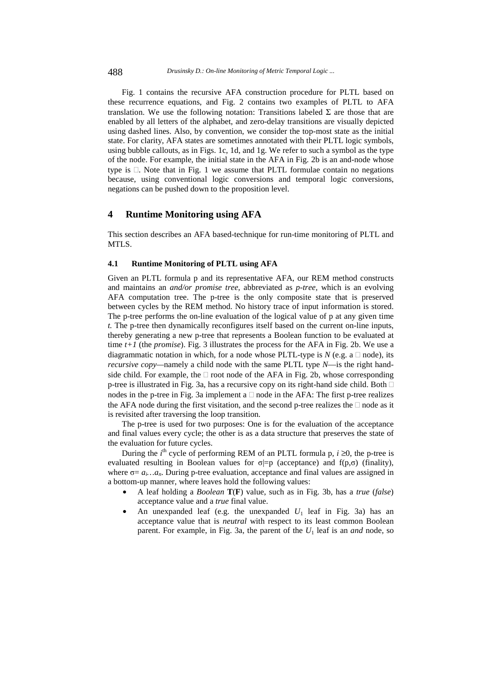Fig. 1 contains the recursive AFA construction procedure for PLTL based on these recurrence equations, and Fig. 2 contains two examples of PLTL to AFA translation. We use the following notation: Transitions labeled  $\Sigma$  are those that are enabled by all letters of the alphabet, and zero-delay transitions are visually depicted using dashed lines. Also, by convention, we consider the top-most state as the initial state. For clarity, AFA states are sometimes annotated with their PLTL logic symbols, using bubble callouts, as in Figs. 1c, 1d, and 1g. We refer to such a symbol as the type of the node. For example, the initial state in the AFA in Fig. 2b is an and-node whose type is  $\Box$ . Note that in Fig. 1 we assume that PLTL formulae contain no negations because, using conventional logic conversions and temporal logic conversions, negations can be pushed down to the proposition level.

### **4 Runtime Monitoring using AFA**

This section describes an AFA based-technique for run-time monitoring of PLTL and MTLS.

#### **4.1 Runtime Monitoring of PLTL using AFA**

Given an PLTL formula p and its representative AFA, our REM method constructs and maintains an *and/or promise tree,* abbreviated as *p-tree,* which is an evolving AFA computation tree. The p-tree is the only composite state that is preserved between cycles by the REM method. No history trace of input information is stored. The p-tree performs the on-line evaluation of the logical value of p at any given time *t.* The p-tree then dynamically reconfigures itself based on the current on-line inputs, thereby generating a new p-tree that represents a Boolean function to be evaluated at time *t+1* (the *promise*). Fig. 3 illustrates the process for the AFA in Fig. 2b. We use a diagrammatic notation in which, for a node whose PLTL-type is  $N$  (e.g. a  $\Box$  node), its *recursive copy—*namely a child node with the same PLTL type *N*—is the right handside child. For example, the  $\Box$  root node of the AFA in Fig. 2b, whose corresponding p-tree is illustrated in Fig. 3a, has a recursive copy on its right-hand side child. Both nodes in the p-tree in Fig. 3a implement a  $\Box$  node in the AFA: The first p-tree realizes the AFA node during the first visitation, and the second p-tree realizes the  $\Box$  node as it is revisited after traversing the loop transition.

The p-tree is used for two purposes: One is for the evaluation of the acceptance and final values every cycle; the other is as a data structure that preserves the state of the evaluation for future cycles.

During the *i*<sup>th</sup> cycle of performing REM of an PLTL formula p,  $i \ge 0$ , the p-tree is evaluated resulting in Boolean values for  $\sigma$ |=p (acceptance) and f(p, $\sigma$ ) (finality), where  $\sigma = a_i \dots a_n$ . During p-tree evaluation, acceptance and final values are assigned in a bottom-up manner, where leaves hold the following values:

- A leaf holding a *Boolean* **T**(**F**) value, such as in Fig. 3b, has a *true* (*false*) acceptance value and a *true* final value.
- An unexpanded leaf (e.g. the unexpanded  $U_1$  leaf in Fig. 3a) has an acceptance value that is *neutral* with respect to its least common Boolean parent. For example, in Fig. 3a, the parent of the  $U_1$  leaf is an *and* node, so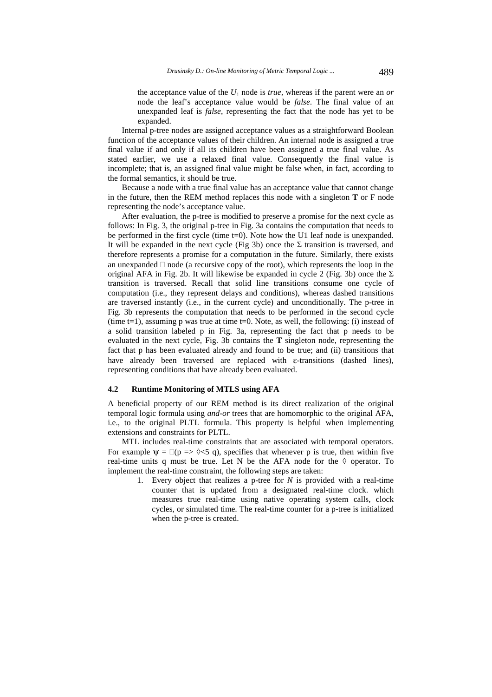the acceptance value of the  $U_1$  node is *true*, whereas if the parent were an *or* node the leaf's acceptance value would be *false*. The final value of an unexpanded leaf is *false*, representing the fact that the node has yet to be expanded.

Internal p-tree nodes are assigned acceptance values as a straightforward Boolean function of the acceptance values of their children. An internal node is assigned a true final value if and only if all its children have been assigned a true final value. As stated earlier, we use a relaxed final value. Consequently the final value is incomplete; that is, an assigned final value might be false when, in fact, according to the formal semantics, it should be true.

Because a node with a true final value has an acceptance value that cannot change in the future, then the REM method replaces this node with a singleton **T** or F node representing the node's acceptance value.

After evaluation, the p-tree is modified to preserve a promise for the next cycle as follows: In Fig. 3, the original p-tree in Fig. 3a contains the computation that needs to be performed in the first cycle (time t=0). Note how the U1 leaf node is unexpanded. It will be expanded in the next cycle (Fig 3b) once the  $\Sigma$  transition is traversed, and therefore represents a promise for a computation in the future. Similarly, there exists an unexpanded  $\Box$  node (a recursive copy of the root), which represents the loop in the original AFA in Fig. 2b. It will likewise be expanded in cycle 2 (Fig. 3b) once the  $\Sigma$ transition is traversed. Recall that solid line transitions consume one cycle of computation (i.e., they represent delays and conditions), whereas dashed transitions are traversed instantly (i.e., in the current cycle) and unconditionally. The p-tree in Fig. 3b represents the computation that needs to be performed in the second cycle (time  $t=1$ ), assuming p was true at time  $t=0$ . Note, as well, the following: (i) instead of a solid transition labeled p in Fig. 3a, representing the fact that p needs to be evaluated in the next cycle, Fig. 3b contains the **T** singleton node, representing the fact that p has been evaluated already and found to be true; and (ii) transitions that have already been traversed are replaced with ε-transitions (dashed lines), representing conditions that have already been evaluated.

#### **4.2 Runtime Monitoring of MTLS using AFA**

A beneficial property of our REM method is its direct realization of the original temporal logic formula using *and-or* trees that are homomorphic to the original AFA, i.e., to the original PLTL formula. This property is helpful when implementing extensions and constraints for PLTL.

MTL includes real-time constraints that are associated with temporal operators. For example  $\psi = \Box(p \Rightarrow \Diamond \leq 5 q)$ , specifies that whenever p is true, then within five real-time units q must be true. Let N be the AFA node for the  $\Diamond$  operator. To implement the real-time constraint, the following steps are taken:

1. Every object that realizes a p-tree for *N* is provided with a real-time counter that is updated from a designated real-time clock. which measures true real-time using native operating system calls, clock cycles, or simulated time. The real-time counter for a p-tree is initialized when the p-tree is created.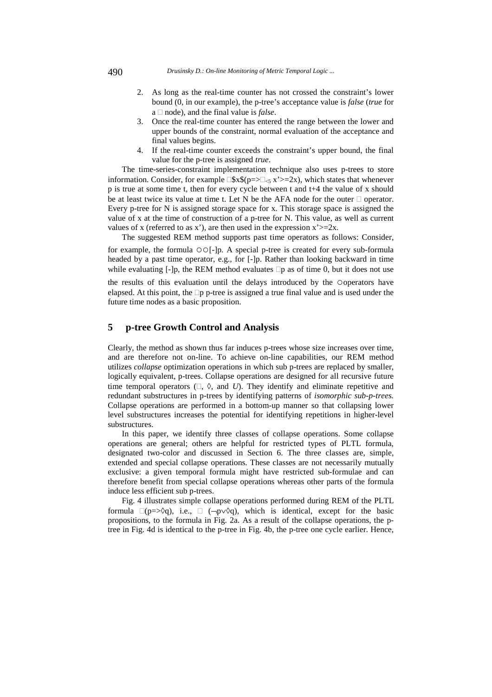490 *Drusinsky D.: On-line Monitoring of Metric Temporal Logic ...*

- 2. As long as the real-time counter has not crossed the constraint's lower bound (0, in our example), the p-tree's acceptance value is *false* (*true* for  $a \Box$  node), and the final value is *false*.
- 3. Once the real-time counter has entered the range between the lower and upper bounds of the constraint, normal evaluation of the acceptance and final values begins.
- 4. If the real-time counter exceeds the constraint's upper bound, the final value for the p-tree is assigned *true*.

The time-series-constraint implementation technique also uses p-trees to store information. Consider, for example  $\Box$ \$x\$(p=> $\Box_{\leq}$ x'>=2x), which states that whenever p is true at some time t, then for every cycle between t and t+4 the value of x should be at least twice its value at time t. Let N be the AFA node for the outer  $\Box$  operator. Every p-tree for N is assigned storage space for x. This storage space is assigned the value of x at the time of construction of a p-tree for N. This value, as well as current values of x (referred to as x'), are then used in the expression  $x'>=2x$ .

The suggested REM method supports past time operators as follows: Consider,

for example, the formula ○○[-]p. A special p-tree is created for every sub-formula headed by a past time operator, e.g., for [-]p. Rather than looking backward in time while evaluating  $[-]p$ , the REM method evaluates  $\Box p$  as of time 0, but it does not use the results of this evaluation until the delays introduced by the ○operators have elapsed. At this point, the  $\Box p$  p-tree is assigned a true final value and is used under the future time nodes as a basic proposition.

### **5 p-tree Growth Control and Analysis**

Clearly, the method as shown thus far induces p-trees whose size increases over time, and are therefore not on-line. To achieve on-line capabilities, our REM method utilizes *collapse* optimization operations in which sub p-trees are replaced by smaller, logically equivalent, p-trees. Collapse operations are designed for all recursive future time temporal operators  $(\Box, \Diamond, \text{ and } U)$ . They identify and eliminate repetitive and redundant substructures in p-trees by identifying patterns of *isomorphic sub-p-trees.*  Collapse operations are performed in a bottom-up manner so that collapsing lower level substructures increases the potential for identifying repetitions in higher-level substructures.

In this paper, we identify three classes of collapse operations. Some collapse operations are general; others are helpful for restricted types of PLTL formula, designated two-color and discussed in Section 6. The three classes are, simple, extended and special collapse operations. These classes are not necessarily mutually exclusive: a given temporal formula might have restricted sub-formulae and can therefore benefit from special collapse operations whereas other parts of the formula induce less efficient sub p-trees.

Fig. 4 illustrates simple collapse operations performed during REM of the PLTL formula  $\Box(p=\Diamond q)$ , i.e.,  $\Box$  ( $\neg p\lor \Diamond q$ ), which is identical, except for the basic propositions, to the formula in Fig. 2a. As a result of the collapse operations, the ptree in Fig. 4d is identical to the p-tree in Fig. 4b, the p-tree one cycle earlier. Hence,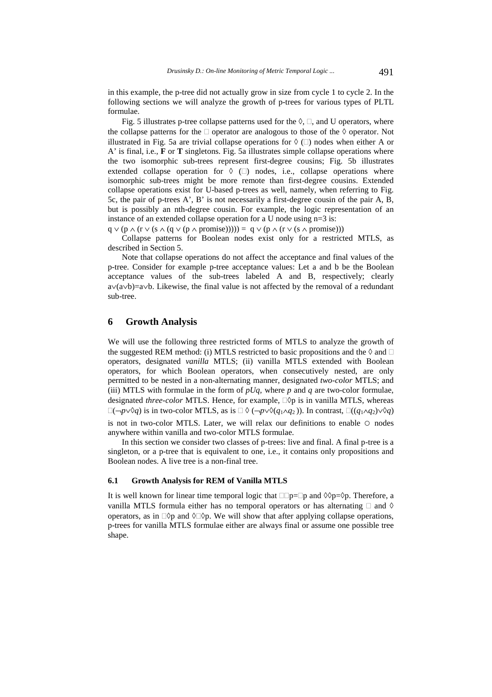in this example, the p-tree did not actually grow in size from cycle 1 to cycle 2. In the following sections we will analyze the growth of p-trees for various types of PLTL formulae.

Fig. 5 illustrates p-tree collapse patterns used for the  $\Diamond$ ,  $\Box$ , and U operators, where the collapse patterns for the  $\Box$  operator are analogous to those of the  $\Diamond$  operator. Not illustrated in Fig. 5a are trivial collapse operations for  $\Diamond$  ( $\Box$ ) nodes when either A or A' is final, i.e., **F** or **T** singletons. Fig. 5a illustrates simple collapse operations where the two isomorphic sub-trees represent first-degree cousins; Fig. 5b illustrates extended collapse operation for  $\Diamond$  ( $\Box$ ) nodes, i.e., collapse operations where isomorphic sub-trees might be more remote than first-degree cousins. Extended collapse operations exist for U-based p-trees as well, namely, when referring to Fig. 5c, the pair of p-trees A', B' is not necessarily a first-degree cousin of the pair A, B, but is possibly an nth-degree cousin. For example, the logic representation of an instance of an extended collapse operation for a U node using n=3 is:

 $q \vee (p \wedge (r \vee (s \wedge (q \vee (p \wedge promise)))) = q \vee (p \wedge (r \vee (s \wedge promise)))$ 

Collapse patterns for Boolean nodes exist only for a restricted MTLS, as described in Section 5.

Note that collapse operations do not affect the acceptance and final values of the p-tree. Consider for example p-tree acceptance values: Let a and b be the Boolean acceptance values of the sub-trees labeled A and B, respectively; clearly a∨(a∨b)=a∨b. Likewise, the final value is not affected by the removal of a redundant sub-tree.

# **6 Growth Analysis**

We will use the following three restricted forms of MTLS to analyze the growth of the suggested REM method: (i) MTLS restricted to basic propositions and the  $\Diamond$  and  $\Box$ operators, designated *vanilla* MTLS; (ii) vanilla MTLS extended with Boolean operators, for which Boolean operators, when consecutively nested, are only permitted to be nested in a non-alternating manner, designated *two-color* MTLS; and (iii) MTLS with formulae in the form of *pUq,* where *p* and *q* are two-color formulae, designated *three-color* MTLS. Hence, for example,  $\Box$  $\Diamond$ p is in vanilla MTLS, whereas  $\Box(\neg p \lor \Diamond q)$  is in two-color MTLS, as is  $\Box \Diamond (\neg p \lor \Diamond (q_1 \land q_2))$ . In contrast,  $\Box ((q_1 \land q_2) \lor \Diamond q)$ is not in two-color MTLS. Later, we will relax our definitions to enable  $\circ$  nodes anywhere within vanilla and two-color MTLS formulae.

In this section we consider two classes of p-trees: live and final. A final p-tree is a singleton, or a p-tree that is equivalent to one, i.e., it contains only propositions and Boolean nodes. A live tree is a non-final tree.

#### **6.1 Growth Analysis for REM of Vanilla MTLS**

It is well known for linear time temporal logic that  $\square p=\square p$  and  $\diamond \lozenge p$ . Therefore, a vanilla MTLS formula either has no temporal operators or has alternating  $\Box$  and  $\Diamond$ operators, as in  $\Box$  $\Diamond$  and  $\Diamond$  $\Box$  $\Diamond$  we will show that after applying collapse operations, p-trees for vanilla MTLS formulae either are always final or assume one possible tree shape.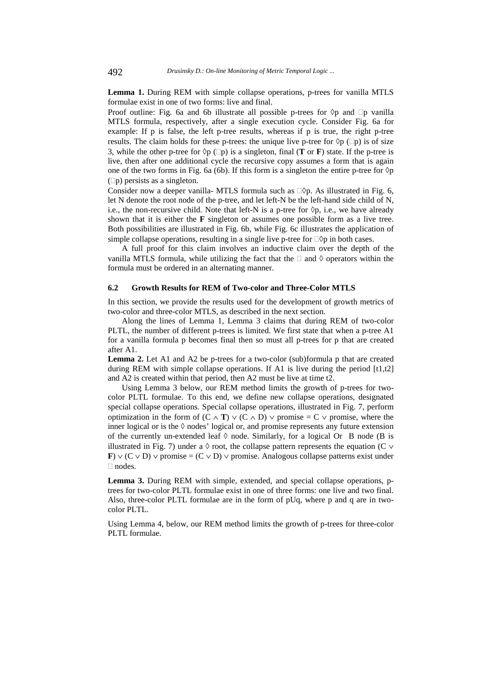**Lemma 1.** During REM with simple collapse operations, p-trees for vanilla MTLS formulae exist in one of two forms: live and final.

Proof outline: Fig. 6a and 6b illustrate all possible p-trees for  $\Diamond p$  and  $\Box p$  vanilla MTLS formula, respectively, after a single execution cycle. Consider Fig. 6a for example: If p is false, the left p-tree results, whereas if p is true, the right p-tree results. The claim holds for these p-trees: the unique live p-tree for  $\Diamond p$  ( $\Box p$ ) is of size 3, while the other p-tree for  $\Diamond p$  ( $\Box p$ ) is a singleton, final (**T** or **F**) state. If the p-tree is live, then after one additional cycle the recursive copy assumes a form that is again one of the two forms in Fig. 6a (6b). If this form is a singleton the entire p-tree for  $\Diamond p$  $(D)$  persists as a singleton.

Consider now a deeper vanilla- MTLS formula such as  $\Box$  $\Diamond$ p. As illustrated in Fig. 6, let N denote the root node of the p-tree, and let left-N be the left-hand side child of N, i.e., the non-recursive child. Note that left-N is a p-tree for  $\Diamond p$ , i.e., we have already shown that it is either the **F** singleton or assumes one possible form as a live tree. Both possibilities are illustrated in Fig. 6b, while Fig. 6c illustrates the application of simple collapse operations, resulting in a single live p-tree for  $\Box$  $\Diamond$ p in both cases.

A full proof for this claim involves an inductive claim over the depth of the vanilla MTLS formula, while utilizing the fact that the  $\Box$  and  $\Diamond$  operators within the formula must be ordered in an alternating manner.

#### **6.2 Growth Results for REM of Two-color and Three-Color MTLS**

In this section, we provide the results used for the development of growth metrics of two-color and three-color MTLS, as described in the next section.

Along the lines of Lemma 1, Lemma 3 claims that during REM of two-color PLTL, the number of different p-trees is limited. We first state that when a p-tree A1 for a vanilla formula p becomes final then so must all p-trees for p that are created after A1.

**Lemma 2.** Let A1 and A2 be p-trees for a two-color (sub)formula p that are created during REM with simple collapse operations. If A1 is live during the period  $[t1,t2]$ and A2 is created within that period, then A2 must be live at time t2.

Using Lemma 3 below, our REM method limits the growth of p-trees for twocolor PLTL formulae. To this end, we define new collapse operations, designated special collapse operations. Special collapse operations, illustrated in Fig. 7, perform optimization in the form of  $(C \wedge T) \vee (C \wedge D) \vee$  promise = C  $\vee$  promise, where the inner logical or is the  $\Diamond$  nodes' logical or, and promise represents any future extension of the currently un-extended leaf  $\Diamond$  node. Similarly, for a logical Or B node (B is illustrated in Fig. 7) under a  $\Diamond$  root, the collapse pattern represents the equation (C  $\lor$ **F**)  $\vee$  (C  $\vee$  D)  $\vee$  promise = (C  $\vee$  D)  $\vee$  promise. Analogous collapse patterns exist under □ nodes.

**Lemma 3.** During REM with simple, extended, and special collapse operations, ptrees for two-color PLTL formulae exist in one of three forms: one live and two final. Also, three-color PLTL formulae are in the form of pUq, where p and q are in twocolor PLTL.

Using Lemma 4, below, our REM method limits the growth of p-trees for three-color PLTL formulae.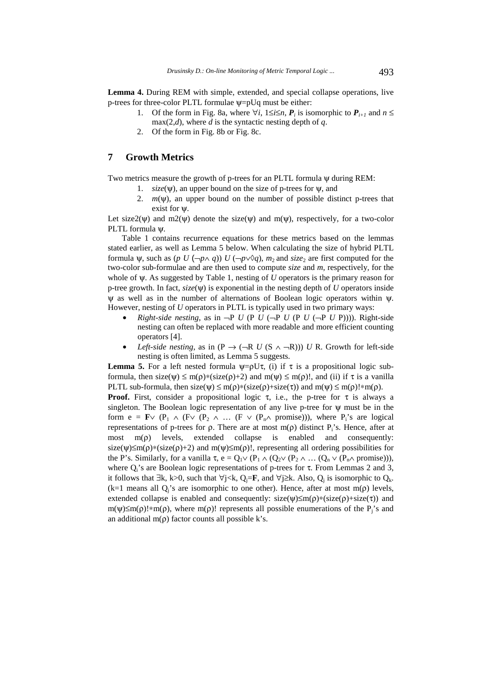**Lemma 4.** During REM with simple, extended, and special collapse operations, live p-trees for three-color PLTL formulae ψ=pUq must be either:

- 1. Of the form in Fig. 8a, where  $\forall i$ ,  $1 \leq i \leq n$ ,  $P_i$  is isomorphic to  $P_{i+1}$  and  $n \leq$  $max(2,d)$ , where *d* is the syntactic nesting depth of *q*.
- 2. Of the form in Fig. 8b or Fig. 8c.

# **7 Growth Metrics**

Two metrics measure the growth of p-trees for an PLTL formula ψ during REM:

- 1. *size*(ψ)*,* an upper bound on the size of p-trees for ψ, and
- 2.  $m(\psi)$ , an upper bound on the number of possible distinct p-trees that exist for ψ.

Let size2( $\Psi$ ) and m2( $\Psi$ ) denote the size( $\Psi$ ) and m( $\Psi$ ), respectively, for a two-color PLTL formula ψ.

Table 1 contains recurrence equations for these metrics based on the lemmas stated earlier, as well as Lemma 5 below. When calculating the size of hybrid PLTL formula  $\psi$ , such as (*p U* ( $\neg p \land q$ )) *U* ( $\neg p \lor \Diamond q$ ), *m*<sub>2</sub> and *size*<sub>2</sub> are first computed for the two-color sub-formulae and are then used to compute *size* and *m,* respectively*,* for the whole of ψ. As suggested by Table 1, nesting of *U* operators is the primary reason for p-tree growth. In fact, *size*(ψ) is exponential in the nesting depth of *U* operators inside  $\psi$  as well as in the number of alternations of Boolean logic operators within  $\psi$ . However, nesting of *U* operators in PLTL is typically used in two primary ways:

- *Right-side nesting*, as in  $\neg P U$  (P *U* ( $\neg P U$  (P *U* ( $\neg P U$  P)))). Right-side nesting can often be replaced with more readable and more efficient counting operators [4].
- *Left-side nesting*, as in (P  $\rightarrow$  ( $\neg R$  *U* (S  $\land$   $\neg R$ ))) *U* R. Growth for left-side nesting is often limited, as Lemma 5 suggests.

**Lemma 5.** For a left nested formula  $\psi = \rho U \tau$ , (i) if  $\tau$  is a propositional logic subformula, then size( $\psi$ )  $\leq m(\rho)$ \*(size( $\rho$ )+2) and  $m(\psi) \leq m(\rho)!$ , and (ii) if  $\tau$  is a vanilla PLTL sub-formula, then size( $\psi$ )  $\leq m(\rho)$ \*(size( $\rho$ )+size( $\tau$ )) and  $m(\psi) \leq m(\rho)$ !\*m( $\rho$ ). **Proof.** First, consider a propositional logic  $\tau$ , i.e., the p-tree for  $\tau$  is always a singleton. The Boolean logic representation of any live p-tree for ψ must be in the form e = **F** $\vee$  (P<sub>1</sub>  $\wedge$  (F $\vee$  (P<sub>2</sub>  $\wedge$  ... (F  $\vee$  (P<sub>n</sub> $\wedge$  promise))), where P<sub>i</sub>'s are logical representations of p-trees for ρ. There are at most m(ρ) distinct  $P_i$ 's. Hence, after at most m(ρ) levels, extended collapse is enabled and consequently: size( $\psi$ )≤m( $\rho$ )\*(size( $\rho$ )+2) and m( $\psi$ )≤m( $\rho$ )!, representing all ordering possibilities for the P's. Similarly, for a vanilla  $\tau$ ,  $e = Q_1 \vee (P_1 \wedge (Q_2 \vee (P_2 \wedge ... (Q_n \vee (P_n \wedge \text{promise}))),$ where  $Q_i$ 's are Boolean logic representations of p-trees for  $\tau$ . From Lemmas 2 and 3, it follows that  $\exists$ k, k>0, such that  $\forall$ j<k, Q<sub>i</sub>=**F**, and  $\forall$ j≥k. Also, Q<sub>i</sub> is isomorphic to Q<sub>k</sub>. (k=1 means all  $Q_i$ 's are isomorphic to one other). Hence, after at most m( $\rho$ ) levels, extended collapse is enabled and consequently:  $size(\psi) \leq m(\rho) * (size(\rho) + size(\tau))$  and m( $\psi$ )≤m( $\rho$ )!\*m( $\rho$ ), where m( $\rho$ )! represents all possible enumerations of the P<sub>i</sub>'s and

an additional m( $\rho$ ) factor counts all possible k's.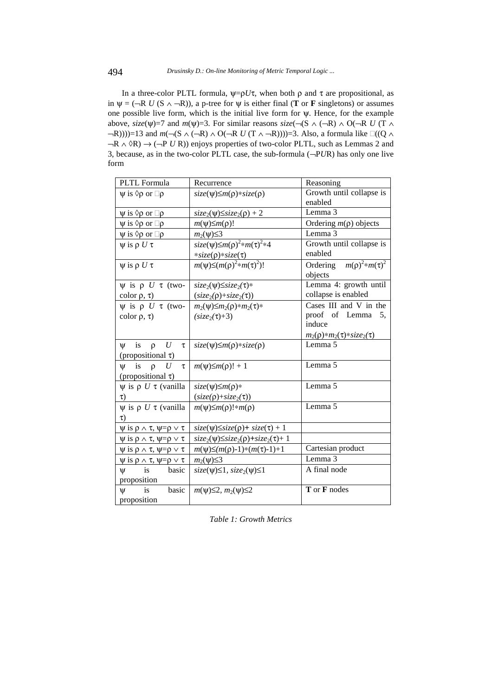In a three-color PLTL formula,  $\psi = \rho U\tau$ , when both  $\rho$  and  $\tau$  are propositional, as in  $\psi = (\neg R \ U (S \land \neg R))$ , a p-tree for  $\psi$  is either final (**T** or **F** singletons) or assumes one possible live form, which is the initial live form for ψ. Hence, for the example above, *size*( $\psi$ )=7 and *m*( $\psi$ )=3. For similar reasons *size*( $\neg$ ( $S \wedge (\neg R) \wedge O(\neg R U)$  (T  $\wedge$  $\neg R$ ))))=13 and *m*( $\neg$ (S  $\land$  ( $\neg$ R)  $\land$  O( $\neg$ R *U* (T  $\land$  $\neg$ R))))=3. Also, a formula like  $\Box$ ((Q  $\land$ ¬R ∧ ◊R) → (¬P *U* R)) enjoys properties of two-color PLTL, such as Lemmas 2 and 3, because, as in the two-color PLTL case, the sub-formula (¬P*U*R) has only one live form

| PLTL Formula                                           | Recurrence                                     | Reasoning                                      |  |
|--------------------------------------------------------|------------------------------------------------|------------------------------------------------|--|
| $\psi$ is $\Diamond \rho$ or $\Box \rho$               | $size(\psi)\leq m(\rho)*size(\rho)$            | Growth until collapse is                       |  |
|                                                        |                                                | enabled                                        |  |
| $\psi$ is $\Diamond \rho$ or $\Box \rho$               | $size_2(\psi)\leq size_2(\rho)+2$              | Lemma 3                                        |  |
| $\psi$ is $\Diamond \rho$ or $\Box \rho$               | $m(\psi) \leq m(\rho)!$                        | Ordering $m(\rho)$ objects                     |  |
| $\psi$ is $\Diamond \rho$ or $\Box \rho$               | $m_2(\psi) \leq 3$                             | Lemma 3                                        |  |
| $\psi$ is $\rho U \tau$                                | $size(\psi) \leq m(\rho)^2 * m(\tau)^2 * 4$    | Growth until collapse is                       |  |
|                                                        | $*size(\rho)*size(\tau)$                       | enabled                                        |  |
| $\psi$ is $\rho U \tau$                                | $m(\psi) \leq (m(\rho)^2 * m(\tau)^2)!$        | Ordering $m(\rho)^2$ *m( $\tau$ ) <sup>2</sup> |  |
|                                                        |                                                | objects                                        |  |
| $\psi$ is $\rho$ U $\tau$ (two-                        | $size_2(\psi) \leq size_2(\tau)$ *             | Lemma 4: growth until                          |  |
| color $\rho$ , $\tau$ )                                | $(size_2(\rho)+size_2(\tau))$                  | collapse is enabled                            |  |
| $\psi$ is $\rho$ U $\tau$ (two-                        | $m_2(\psi) \leq m_2(\rho) * m_2(\tau) *$       | Cases III and V in the                         |  |
| color $\rho$ , $\tau$ )                                | $(size_2(\tau)+3)$                             | proof of Lemma<br>5,                           |  |
|                                                        |                                                | induce                                         |  |
|                                                        |                                                | $m_2(\rho) * m_2(\tau) * size_2(\tau)$         |  |
| U<br>is<br>$\rho$<br>$\mathsf{U}$<br>τ                 | $size(\psi) \leq m(\rho) * size(\rho)$         | Lemma 5                                        |  |
| (propositional $\tau$ )                                |                                                |                                                |  |
| is<br>$\mathsf{U}$<br>$\rho$<br>U<br>τ                 | $m(\psi) \leq m(\rho)! + 1$                    | Lemma 5                                        |  |
| (propositional $\tau$ )                                |                                                |                                                |  |
| $\psi$ is $\rho$ U $\tau$ (vanilla                     | $size(\psi) \leq m(\rho)$ *                    | Lemma 5                                        |  |
| $\tau$ )                                               | $(size(\rho)+size_2(\tau))$                    |                                                |  |
| $\psi$ is $\rho$ U $\tau$ (vanilla                     | $m(\psi) \leq m(\rho)! \cdot m(\rho)$          | Lemma 5                                        |  |
| $\tau$ )                                               |                                                |                                                |  |
| $\psi$ is $\rho \wedge \tau$ , $\psi = \rho \vee \tau$ | $size(\psi) \leq size(\rho) + size(\tau) + 1$  |                                                |  |
| $\psi$ is $\rho \wedge \tau$ , $\psi = \rho \vee \tau$ | $size_2(\psi)\leq size_2(\rho)+size_2(\tau)+1$ |                                                |  |
| $\psi$ is $\rho \wedge \tau$ , $\psi = \rho \vee \tau$ | $m(\psi) \leq (m(\rho)-1) * (m(\tau)-1)+1$     | Cartesian product                              |  |
| $\psi$ is $\rho \wedge \tau$ , $\psi = \rho \vee \tau$ | $m_2(\psi) \leq 3$                             | Lemma 3                                        |  |
| basic<br>$\Psi$<br>is                                  | $size(\psi) \leq 1, size_2(\psi) \leq 1$       | A final node                                   |  |
| proposition                                            |                                                |                                                |  |
| basic<br>is<br>$\Psi$                                  | $m(\psi) \leq 2$ , $m_2(\psi) \leq 2$          | T or F nodes                                   |  |
| proposition                                            |                                                |                                                |  |

*Table 1: Growth Metrics*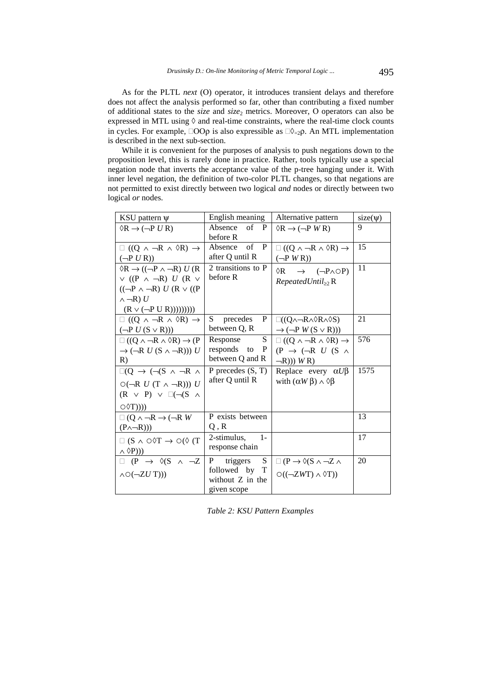As for the PLTL *next* (Ο) operator, it introduces transient delays and therefore does not affect the analysis performed so far, other than contributing a fixed number of additional states to the *size* and *size*2 metrics. Moreover, Ο operators can also be expressed in MTL using  $\Diamond$  and real-time constraints, where the real-time clock counts in cycles. For example,  $\Box$ OOp is also expressible as  $\Box \Diamond_{=2} \rho$ . An MTL implementation is described in the next sub-section.

While it is convenient for the purposes of analysis to push negations down to the proposition level, this is rarely done in practice. Rather, tools typically use a special negation node that inverts the acceptance value of the p-tree hanging under it. With inner level negation, the definition of two-color PLTL changes, so that negations are not permitted to exist directly between two logical *and* nodes or directly between two logical *or* nodes.

| KSU pattern $\psi$                                                                 | English meaning     | Alternative pattern                                             | $size(\psi)$ |
|------------------------------------------------------------------------------------|---------------------|-----------------------------------------------------------------|--------------|
| $\Diamond R \rightarrow (\neg P U R)$                                              | of<br>Absence<br>P  | $\Diamond R \rightarrow (\neg P \, W \, R)$                     | 9            |
|                                                                                    | before R            |                                                                 |              |
| $\Box ((Q \land \neg R \land \Diamond R) \rightarrow$                              | of P<br>Absence     | $\Box ((Q \land \neg R \land \Diamond R) \rightarrow$           | 15           |
| $(\neg P U R)$                                                                     | after Q until R     | $(\neg P \, W \, R)$                                            |              |
| $\Diamond$ R $\rightarrow$ (( $\neg$ P $\land$ $\neg$ R) U(R)                      | 2 transitions to P  | $\rightarrow$ $(\neg P \land \bigcirc P)$<br>$\Diamond R$       | 11           |
| $\vee$ ((P $\wedge \neg R$ ) U (R $\vee$                                           | before R            | $RepeatedUntil_{\geq 2}R$                                       |              |
| $((\neg P \land \neg R) U (R \lor ((P$                                             |                     |                                                                 |              |
| $\wedge \neg R$ ) U                                                                |                     |                                                                 |              |
| $(R \vee (\neg P \cup R))))))))$                                                   |                     |                                                                 |              |
| $\Box$ ((Q $\land \neg R \land \Diamond R$ ) $\rightarrow$                         | S<br>precedes<br>P  | $\square((Q \wedge \neg R \wedge \Diamond R \wedge \Diamond S)$ | 21           |
| $(\neg P U(S \vee R)))$                                                            | between Q, R        | $\rightarrow$ ( $\neg P$ W (S $\vee$ R)))                       |              |
| $\Box ((Q \land \neg R \land \Diamond R) \rightarrow (P$                           | S.<br>Response      | $\Box ((Q \land \neg R \land \Diamond R) \rightarrow$           | 576          |
| $\rightarrow$ ( $\neg R U$ (S $\land \neg R$ ))) U                                 | responds to<br>P    | $(P \rightarrow (\neg R U (S \land$                             |              |
| R)                                                                                 | between Q and R     | $\neg R))$ WR)                                                  |              |
| $\square(Q \rightarrow (\neg(S \land \neg R \land$                                 | P precedes $(S, T)$ | Replace every $\alpha U\beta$                                   | 1575         |
| $O(\neg R U (T \land \neg R)) U$                                                   | after Q until R     | with $(\alpha W \beta) \wedge \Diamond \beta$                   |              |
| $(R \vee P) \vee \Box(\neg (S \wedge$                                              |                     |                                                                 |              |
| $\circ \Diamond T))$                                                               |                     |                                                                 |              |
| $\Box$ (Q $\land \neg R \rightarrow (\neg R W)$                                    | P exists between    |                                                                 | 13           |
| $(P \land \neg R))$                                                                | Q, R                |                                                                 |              |
| $\Box$ (S $\land$ $\circ$ $\Diamond$ T $\rightarrow$ $\circ$ $\circ$ $\Diamond$ (T | 2-stimulus,<br>$1-$ |                                                                 | 17           |
| $\wedge$ $\Diamond$ P)))                                                           | response chain      |                                                                 |              |
| $\Box$ (P $\rightarrow$ $\Diamond$ (S $\land \neg Z$ )                             | S<br>P<br>triggers  | $\Box$ (P $\rightarrow \Diamond$ (S $\land \neg Z \land$        | 20           |
|                                                                                    | followed by T       |                                                                 |              |
| $\wedge \bigcirc (\neg ZU T))$                                                     | without Z in the    | $\circ ((\neg ZWT) \wedge \Diamond T))$                         |              |
|                                                                                    | given scope         |                                                                 |              |

*Table 2: KSU Pattern Examples*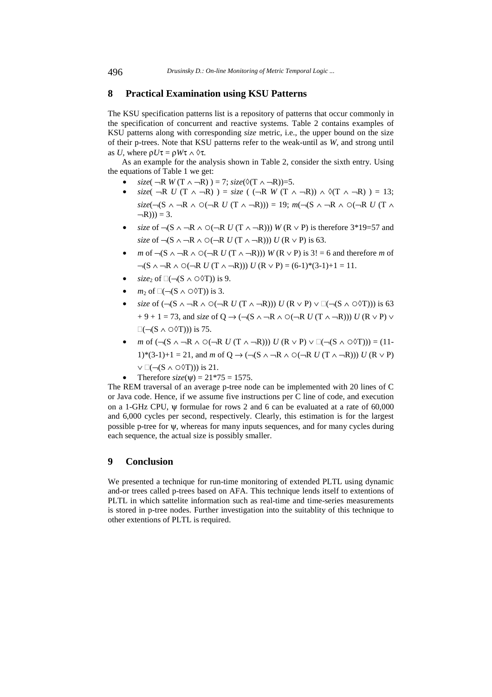### **8 Practical Examination using KSU Patterns**

The KSU specification patterns list is a repository of patterns that occur commonly in the specification of concurrent and reactive systems. Table 2 contains examples of KSU patterns along with corresponding *size* metric, i.e., the upper bound on the size of their p-trees. Note that KSU patterns refer to the weak-until as *W*, and strong until as *U*, where  $\rho U\tau = \rho W\tau \wedge \varphi \tau$ .

As an example for the analysis shown in Table 2, consider the sixth entry. Using the equations of Table 1 we get:

- *size*( $\neg R$  *W*( $T \land \neg R$ )) = 7; *size*( $\Diamond(T \land \neg R)$ ) = 5.
- $size($  ¬R *U* (T ∧ ¬R)  $) = size$  ( (¬R *W* (T ∧ ¬R)) ∧  $\Diamond$ (T ∧ ¬R)  $) = 13$ ;  $size(\neg (S \land \neg R \land \bigcirc (\neg R \ U (T \land \neg R))) = 19; m(\neg (S \land \neg R \land \bigcirc (\neg R \ U (T \land \neg R)))$  $-R$ ))) = 3.
- *size* of  $\neg$ (S  $\land \neg$ R  $\land$   $\odot$ ( $\neg$ R *U* (T  $\land \neg$ R))) *W* (R  $\lor$  P) is therefore 3\*19=57 and *size* of  $\neg (S \land \neg R \land \bigcirc (\neg R \ U (T \land \neg R))) U (R \lor P)$  is 63.
- *m* of  $\neg$ (S ∧  $\neg$ R ∧ ○( $\neg$ R *U* (T ∧  $\neg$ R))) *W* (R ∨ P) is 3! = 6 and therefore *m* of  $\neg(S \land \neg R \land \bigcirc (\neg R \ U (T \land \neg R))) \ U (R \lor P) = (6-1)^*(3-1)+1 = 11.$
- *size*<sub>2</sub> of  $\Box(\neg (S \land \Box \Diamond T))$  is 9.
- *m*<sub>2</sub> of  $\Box(\neg (S \land \Box \Diamond T))$  is 3.
- *size* of  $(\neg (S \land \neg R \land \bigcirc (\neg R \cup (T \land \neg R))) U (R \lor P) \lor \Box (\neg (S \land \bigcirc \Diamond T)))$  is 63  $+9 + 1 = 73$ , and *size* of Q  $\rightarrow$  ( $\neg$ (S  $\land \neg$ R  $\land$   $\circ$ ( $\neg$ R *U* (T  $\land \neg$ R))) *U* (R  $\lor$  P)  $\lor$  $\square(\neg (S \wedge \bigcirc \Diamond T))$  is 75.
- *m* of  $\left(\neg(S \land \neg R \land \bigcirc(\neg R \cup (T \land \neg R))\right)$   $U(R \lor P) \lor \Box(\neg(S \land \bigcirc \Diamond T)) = (11-\bigcirc \Box G)$ 1)\*(3-1)+1 = 21, and *m* of Q → ( $\neg$ (S ∧  $\neg$ R ∧ ○( $\neg$ R *U* (T ∧  $\neg$ R))) *U* (R ∨ P)  $\vee \Box (\neg (S \land \Box \Diamond T)))$  is 21.
	- Therefore  $size(\Psi) = 21*75 = 1575$ .

The REM traversal of an average p-tree node can be implemented with 20 lines of C or Java code. Hence, if we assume five instructions per C line of code, and execution on a 1-GHz CPU, ψ formulae for rows 2 and 6 can be evaluated at a rate of 60,000 and 6,000 cycles per second, respectively. Clearly, this estimation is for the largest possible p-tree for ψ, whereas for many inputs sequences, and for many cycles during each sequence, the actual size is possibly smaller.

# **9 Conclusion**

We presented a technique for run-time monitoring of extended PLTL using dynamic and-or trees called p-trees based on AFA. This technique lends itself to extentions of PLTL in which sattelite information such as real-time and time-series measurements is stored in p-tree nodes. Further investigation into the suitablity of this technique to other extentions of PLTL is required.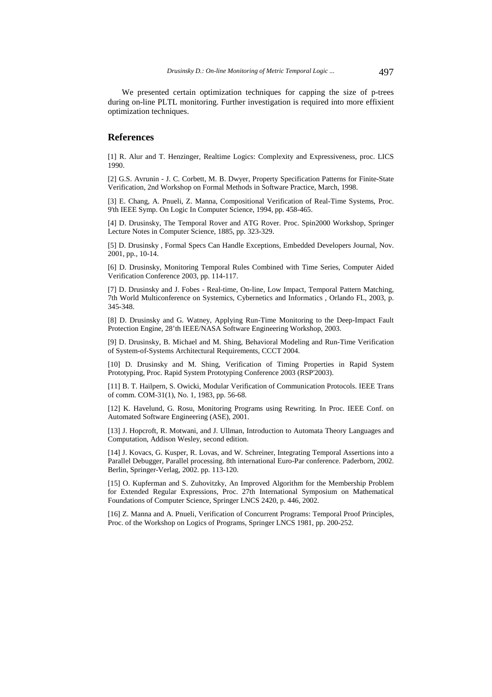We presented certain optimization techniques for capping the size of p-trees during on-line PLTL monitoring. Further investigation is required into more effixient optimization techniques.

### **References**

[1] R. Alur and T. Henzinger, Realtime Logics: Complexity and Expressiveness, proc. LICS 1990.

[2] G.S. Avrunin - J. C. Corbett, M. B. Dwyer, Property Specification Patterns for Finite-State Verification, 2nd Workshop on Formal Methods in Software Practice, March, 1998.

[3] E. Chang, A. Pnueli, Z. Manna, Compositional Verification of Real-Time Systems, Proc. 9'th IEEE Symp. On Logic In Computer Science, 1994, pp. 458-465.

[4] D. Drusinsky, The Temporal Rover and ATG Rover. Proc. Spin2000 Workshop, Springer Lecture Notes in Computer Science, 1885, pp. 323-329.

[5] D. Drusinsky , Formal Specs Can Handle Exceptions, Embedded Developers Journal, Nov. 2001, pp., 10-14.

[6] D. Drusinsky, Monitoring Temporal Rules Combined with Time Series, Computer Aided Verification Conference 2003, pp. 114-117.

[7] D. Drusinsky and J. Fobes - Real-time, On-line, Low Impact, Temporal Pattern Matching, 7th World Multiconference on Systemics, Cybernetics and Informatics , Orlando FL, 2003, p. 345-348.

[8] D. Drusinsky and G. Watney, Applying Run-Time Monitoring to the Deep-Impact Fault Protection Engine, 28'th IEEE/NASA Software Engineering Workshop, 2003.

[9] D. Drusinsky, B. Michael and M. Shing, Behavioral Modeling and Run-Time Verification of System-of-Systems Architectural Requirements, CCCT 2004.

[10] D. Drusinsky and M. Shing, Verification of Timing Properties in Rapid System Prototyping, Proc. Rapid System Prototyping Conference 2003 (RSP'2003).

[11] B. T. Hailpern, S. Owicki, Modular Verification of Communication Protocols. IEEE Trans of comm. COM-31(1), No. 1, 1983, pp. 56-68.

[12] K. Havelund, G. Rosu, Monitoring Programs using Rewriting. In Proc. IEEE Conf. on Automated Software Engineering (ASE), 2001.

[13] J. Hopcroft, R. Motwani, and J. Ullman, Introduction to Automata Theory Languages and Computation, Addison Wesley, second edition.

[14] J. Kovacs, G. Kusper, R. Lovas, and W. Schreiner, Integrating Temporal Assertions into a Parallel Debugger, Parallel processing. 8th international Euro-Par conference. Paderborn, 2002. Berlin, Springer-Verlag, 2002. pp. 113-120.

[15] O. Kupferman and S. Zuhovitzky, An Improved Algorithm for the Membership Problem for Extended Regular Expressions, Proc. 27th International Symposium on Mathematical Foundations of Computer Science, Springer LNCS 2420, p. 446, 2002.

[16] Z. Manna and A. Pnueli, Verification of Concurrent Programs: Temporal Proof Principles, Proc. of the Workshop on Logics of Programs, Springer LNCS 1981, pp. 200-252.